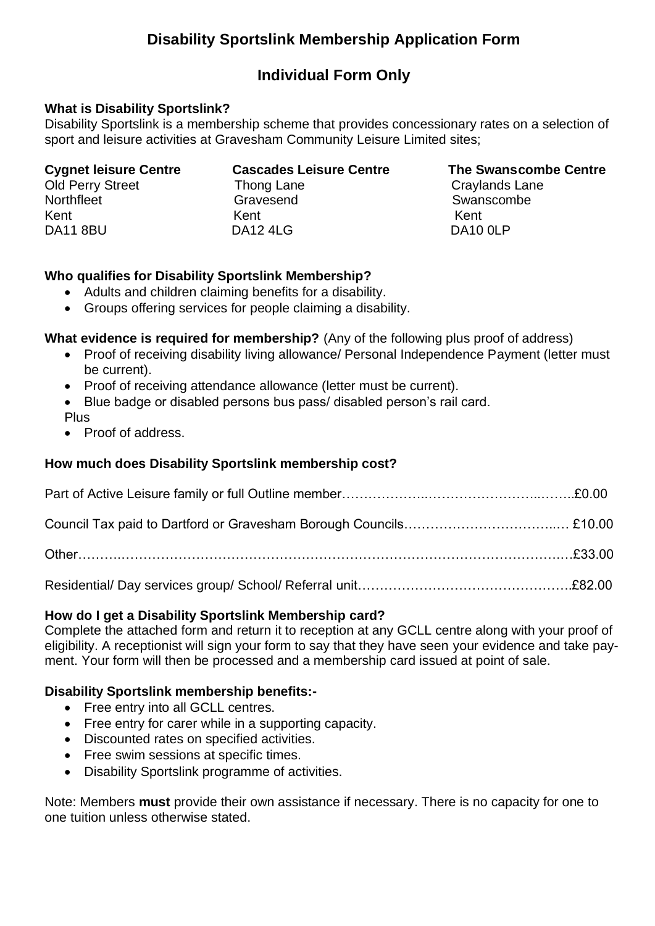## **Disability Sportslink Membership Application Form**

## **Individual Form Only**

### **What is Disability Sportslink?**

Disability Sportslink is a membership scheme that provides concessionary rates on a selection of sport and leisure activities at Gravesham Community Leisure Limited sites;

| <b>Cygnet leisure Centre</b> | <b>Cascades Leisure Centre</b> | <b>The Swanscombe Centre</b> |
|------------------------------|--------------------------------|------------------------------|
| <b>Old Perry Street</b>      | Thong Lane                     | Craylands Lane               |
| Northfleet                   | Gravesend                      | Swanscombe                   |
| Kent                         | Kent                           | Kent                         |
| <b>DA11 8BU</b>              | <b>DA12 4LG</b>                | DA10 OLP                     |

### **Who qualifies for Disability Sportslink Membership?**

- Adults and children claiming benefits for a disability.
- Groups offering services for people claiming a disability.

### **What evidence is required for membership?** (Any of the following plus proof of address)

- Proof of receiving disability living allowance/ Personal Independence Payment (letter must be current).
- Proof of receiving attendance allowance (letter must be current).
- Blue badge or disabled persons bus pass/ disabled person's rail card. Plus
- Proof of address.

### **How much does Disability Sportslink membership cost?**

#### **How do I get a Disability Sportslink Membership card?**

Complete the attached form and return it to reception at any GCLL centre along with your proof of eligibility. A receptionist will sign your form to say that they have seen your evidence and take payment. Your form will then be processed and a membership card issued at point of sale.

#### **Disability Sportslink membership benefits:-**

- Free entry into all GCLL centres.
- Free entry for carer while in a supporting capacity.
- Discounted rates on specified activities.
- Free swim sessions at specific times.
- Disability Sportslink programme of activities.

Note: Members **must** provide their own assistance if necessary. There is no capacity for one to one tuition unless otherwise stated.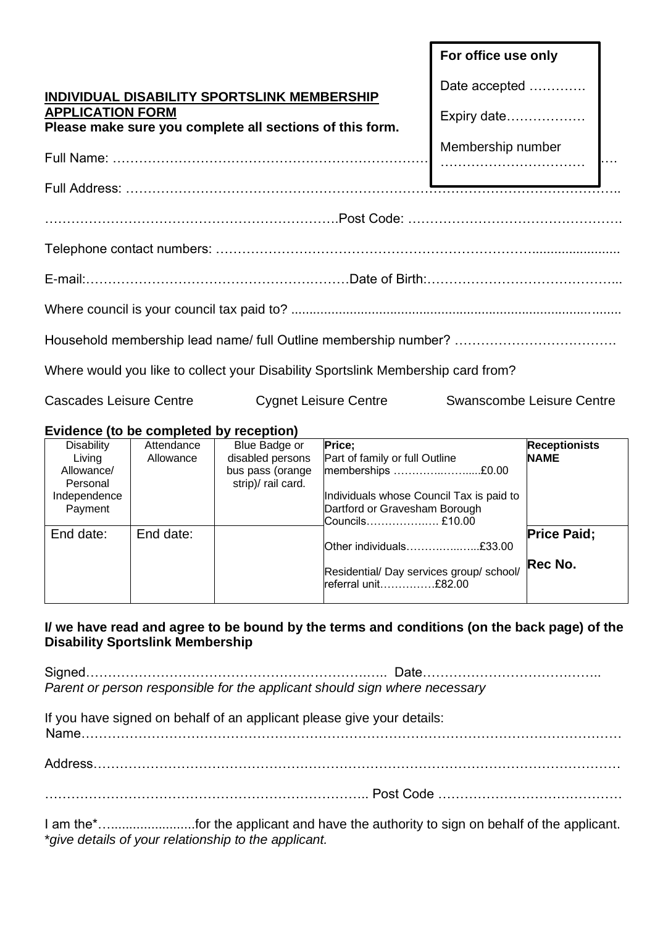|                                             |            |                                                          |                                                                                  | For office use only |                           |
|---------------------------------------------|------------|----------------------------------------------------------|----------------------------------------------------------------------------------|---------------------|---------------------------|
| INDIVIDUAL DISABILITY SPORTSLINK MEMBERSHIP |            |                                                          | Date accepted                                                                    |                     |                           |
| <b>APPLICATION FORM</b>                     |            | Please make sure you complete all sections of this form. |                                                                                  | Expiry date         |                           |
|                                             |            |                                                          |                                                                                  |                     |                           |
|                                             |            |                                                          |                                                                                  | Membership number   |                           |
|                                             |            |                                                          |                                                                                  |                     |                           |
|                                             |            |                                                          |                                                                                  |                     |                           |
|                                             |            |                                                          |                                                                                  |                     |                           |
|                                             |            |                                                          |                                                                                  |                     |                           |
|                                             |            |                                                          |                                                                                  |                     |                           |
|                                             |            |                                                          |                                                                                  |                     |                           |
|                                             |            |                                                          |                                                                                  |                     |                           |
|                                             |            |                                                          | Where would you like to collect your Disability Sportslink Membership card from? |                     |                           |
|                                             |            |                                                          |                                                                                  |                     |                           |
| <b>Cascades Leisure Centre</b>              |            |                                                          | <b>Cygnet Leisure Centre</b>                                                     |                     | Swanscombe Leisure Centre |
| Evidence (to be completed by reception)     |            |                                                          |                                                                                  |                     |                           |
| <b>Disability</b>                           | Attendance | Blue Badge or                                            | Price;                                                                           |                     | <b>Receptionists</b>      |
| Living                                      | Allowance  | disabled persons                                         | Part of family or full Outline                                                   |                     | <b>NAME</b>               |
| Allowance/                                  |            | bus pass (orange                                         | memberships £0.00                                                                |                     |                           |
| Personal                                    |            | strip)/ rail card.                                       |                                                                                  |                     |                           |
| Independence                                |            |                                                          | Individuals whose Council Tax is paid to                                         |                     |                           |
| Payment                                     |            |                                                          | Dartford or Gravesham Borough                                                    |                     |                           |
|                                             |            |                                                          | Councils £10.00                                                                  |                     |                           |
| End date:                                   | End date:  |                                                          |                                                                                  |                     | <b>Price Paid:</b>        |

## **I/ we have read and agree to be bound by the terms and conditions (on the back page) of the Disability Sportslink Membership**

Other individuals……….…..…...£33.00

Residential/ Day services group/ school/

**Rec No.**

referral unit……………£82.00

Signed……………………………………………………….….. Date………………………………….. *Parent or person responsible for the applicant should sign where necessary*

If you have signed on behalf of an applicant please give your details:

Name……………………………………………………………………………………………………………

Address…………………………………………………………………………………………………………

……………………………………………………………….. Post Code ……………………………………

I am the<sup>\*</sup>...............................for the applicant and have the authority to sign on behalf of the applicant. \**give details of your relationship to the applicant.*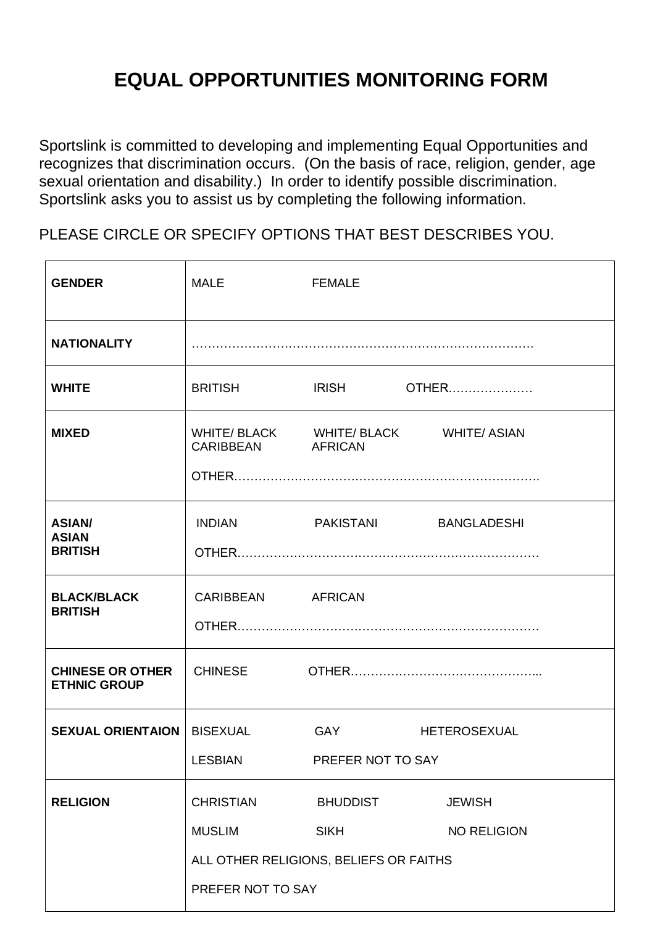# **EQUAL OPPORTUNITIES MONITORING FORM**

Sportslink is committed to developing and implementing Equal Opportunities and recognizes that discrimination occurs. (On the basis of race, religion, gender, age sexual orientation and disability.) In order to identify possible discrimination. Sportslink asks you to assist us by completing the following information.

PLEASE CIRCLE OR SPECIFY OPTIONS THAT BEST DESCRIBES YOU.

| <b>GENDER</b>                                                                                                       | <b>MALE</b>                       | <b>FEMALE</b>                                          |                                        |
|---------------------------------------------------------------------------------------------------------------------|-----------------------------------|--------------------------------------------------------|----------------------------------------|
| <b>NATIONALITY</b>                                                                                                  |                                   |                                                        |                                        |
| <b>WHITE</b>                                                                                                        | <b>BRITISH</b>                    | <b>IRISH</b>                                           | <b>OTHER</b>                           |
| <b>MIXED</b>                                                                                                        | CARIBBEAN AFRICAN                 |                                                        | WHITE/ BLACK WHITE/ BLACK WHITE/ ASIAN |
| <b>ASIAN/</b><br><b>ASIAN</b><br><b>BRITISH</b>                                                                     | <b>INDIAN</b>                     |                                                        | PAKISTANI BANGLADESHI                  |
| <b>BLACK/BLACK</b><br><b>BRITISH</b>                                                                                | CARIBBEAN AFRICAN                 |                                                        |                                        |
| <b>CHINESE OR OTHER</b><br><b>ETHNIC GROUP</b>                                                                      | <b>CHINESE</b>                    |                                                        |                                        |
| <b>SEXUAL ORIENTAION</b>                                                                                            | <b>BISEXUAL</b><br><b>LESBIAN</b> | <b>GAY</b><br><b>HETEROSEXUAL</b><br>PREFER NOT TO SAY |                                        |
| <b>CHRISTIAN</b><br><b>RELIGION</b><br><b>MUSLIM</b><br>ALL OTHER RELIGIONS, BELIEFS OR FAITHS<br>PREFER NOT TO SAY |                                   | <b>BHUDDIST</b><br><b>SIKH</b>                         | <b>JEWISH</b><br><b>NO RELIGION</b>    |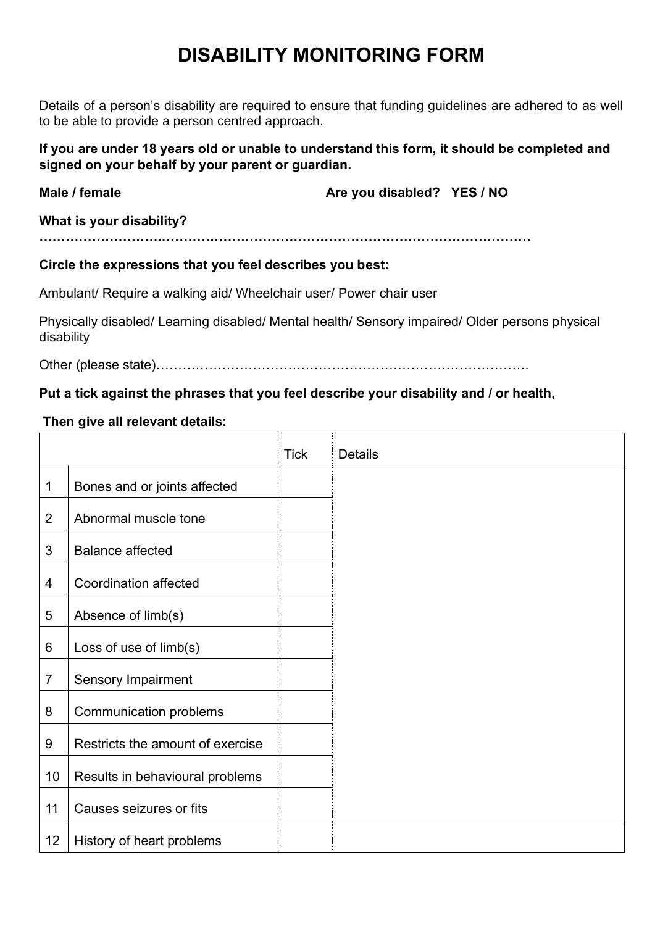# **DISABILITY MONITORING FORM**

Details of a person's disability are required to ensure that funding guidelines are adhered to as well to be able to provide a person centred approach.

**If you are under 18 years old or unable to understand this form, it should be completed and signed on your behalf by your parent or guardian.** 

| Male / female            | Are you disabled? YES / NO |
|--------------------------|----------------------------|
| What is your disability? |                            |

**……………………….…………………………………………………………………………**

### **Circle the expressions that you feel describes you best:**

Ambulant/ Require a walking aid/ Wheelchair user/ Power chair user

Physically disabled/ Learning disabled/ Mental health/ Sensory impaired/ Older persons physical disability

┱

٦

Other (please state)………………………………………………………………………….

┱

### **Put a tick against the phrases that you feel describe your disability and / or health,**

### **Then give all relevant details:**

 $\mathsf{L}$ 

|                |                                  | <b>Tick</b> | <b>Details</b> |
|----------------|----------------------------------|-------------|----------------|
| 1              | Bones and or joints affected     |             |                |
| $\overline{2}$ | Abnormal muscle tone             |             |                |
| 3              | <b>Balance affected</b>          |             |                |
| 4              | <b>Coordination affected</b>     |             |                |
| 5              | Absence of limb(s)               |             |                |
| 6              | Loss of use of limb(s)           |             |                |
| $\overline{7}$ | <b>Sensory Impairment</b>        |             |                |
| 8              | <b>Communication problems</b>    |             |                |
| 9              | Restricts the amount of exercise |             |                |
| 10             | Results in behavioural problems  |             |                |
| 11             | Causes seizures or fits          |             |                |
| 12             | History of heart problems        |             |                |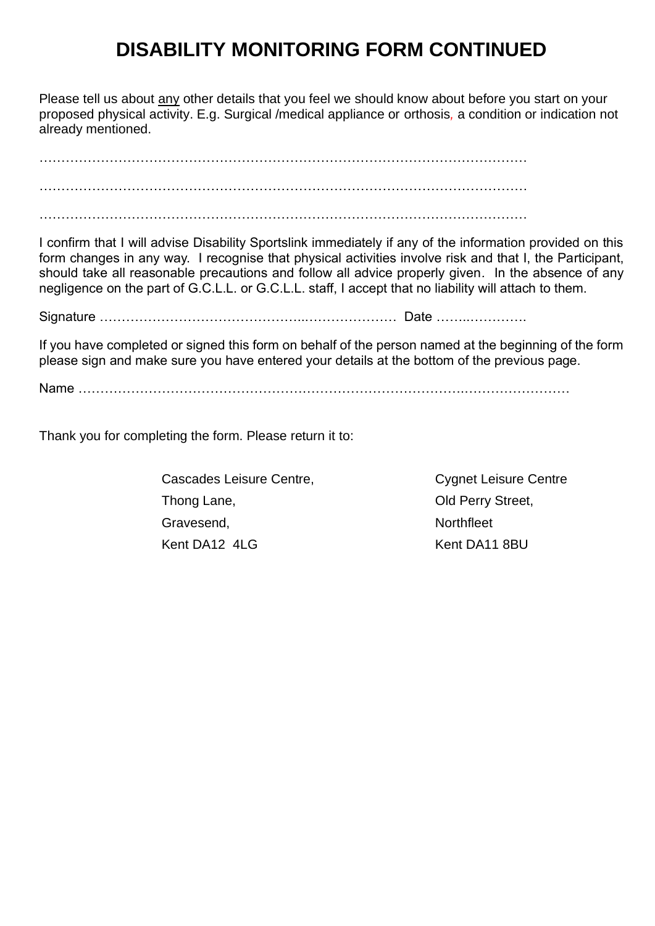# **DISABILITY MONITORING FORM CONTINUED**

Please tell us about any other details that you feel we should know about before you start on your proposed physical activity. E.g. Surgical /medical appliance or orthosis*,* a condition or indication not already mentioned.

………………………………………………………………………………………………… ………………………………………………………………………………………………… ………………………………………………………………………………………………… I confirm that I will advise Disability Sportslink immediately if any of the information provided on this form changes in any way. I recognise that physical activities involve risk and that I, the Participant, should take all reasonable precautions and follow all advice properly given*.* In the absence of any negligence on the part of G.C.L.L. or G.C.L.L. staff, I accept that no liability will attach to them. Signature ………………………………………..………………… Date ……..…………. If you have completed or signed this form on behalf of the person named at the beginning of the form please sign and make sure you have entered your details at the bottom of the previous page. Name …………………………………………………………………………….……………………

Thank you for completing the form. Please return it to:

Cascades Leisure Centre, Cascades Leisure Centre, Thong Lane, Thong Lane, Thong Lane, Thong Lane, Thong Lane, Thong Lane, Thong Lane, Thong Lane, Thomas Did Perry Street, Gravesend, The Contract of the Contract of the Northfleet Kent DA12 4LG Kent DA11 8BU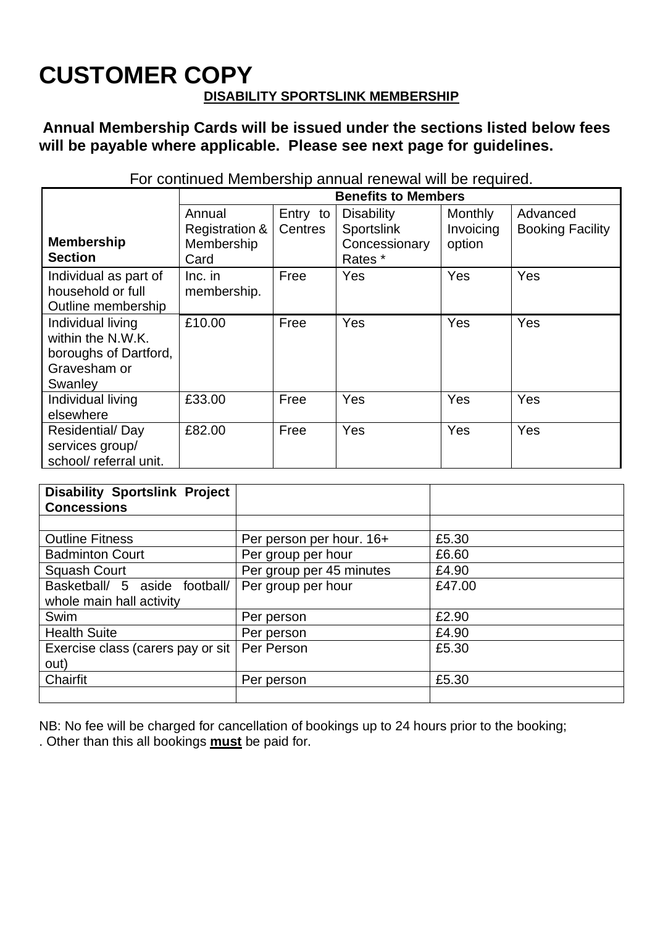# **CUSTOMER COPY DISABILITY SPORTSLINK MEMBERSHIP**

## **Annual Membership Cards will be issued under the sections listed below fees will be payable where applicable. Please see next page for guidelines.**

|                                                                                            | <b>Benefits to Members</b>                     |                     |                                                             |                                       |                                     |
|--------------------------------------------------------------------------------------------|------------------------------------------------|---------------------|-------------------------------------------------------------|---------------------------------------|-------------------------------------|
| <b>Membership</b><br><b>Section</b>                                                        | Annual<br>Registration &<br>Membership<br>Card | Entry to<br>Centres | <b>Disability</b><br>Sportslink<br>Concessionary<br>Rates * | <b>Monthly</b><br>Invoicing<br>option | Advanced<br><b>Booking Facility</b> |
| Individual as part of<br>household or full<br>Outline membership                           | $Inc.$ in<br>membership.                       | Free                | Yes                                                         | Yes                                   | Yes                                 |
| Individual living<br>within the N.W.K.<br>boroughs of Dartford,<br>Gravesham or<br>Swanley | £10.00                                         | Free                | Yes                                                         | Yes                                   | Yes                                 |
| Individual living<br>elsewhere                                                             | £33.00                                         | Free                | Yes                                                         | Yes                                   | Yes                                 |
| Residential/Day<br>services group/<br>school/ referral unit.                               | £82.00                                         | Free                | Yes                                                         | Yes                                   | Yes                                 |

For continued Membership annual renewal will be required.

| <b>Disability Sportslink Project</b><br><b>Concessions</b> |                          |        |
|------------------------------------------------------------|--------------------------|--------|
|                                                            |                          |        |
| <b>Outline Fitness</b>                                     | Per person per hour. 16+ | £5.30  |
| <b>Badminton Court</b>                                     | Per group per hour       | £6.60  |
| Squash Court                                               | Per group per 45 minutes | £4.90  |
| Basketball/ 5 aside football/                              | Per group per hour       | £47.00 |
| whole main hall activity                                   |                          |        |
| Swim                                                       | Per person               | £2.90  |
| <b>Health Suite</b>                                        | Per person               | £4.90  |
| Exercise class (carers pay or sit                          | Per Person               | £5.30  |
| out)                                                       |                          |        |
| Chairfit                                                   | Per person               | £5.30  |
|                                                            |                          |        |

NB: No fee will be charged for cancellation of bookings up to 24 hours prior to the booking; . Other than this all bookings **must** be paid for.